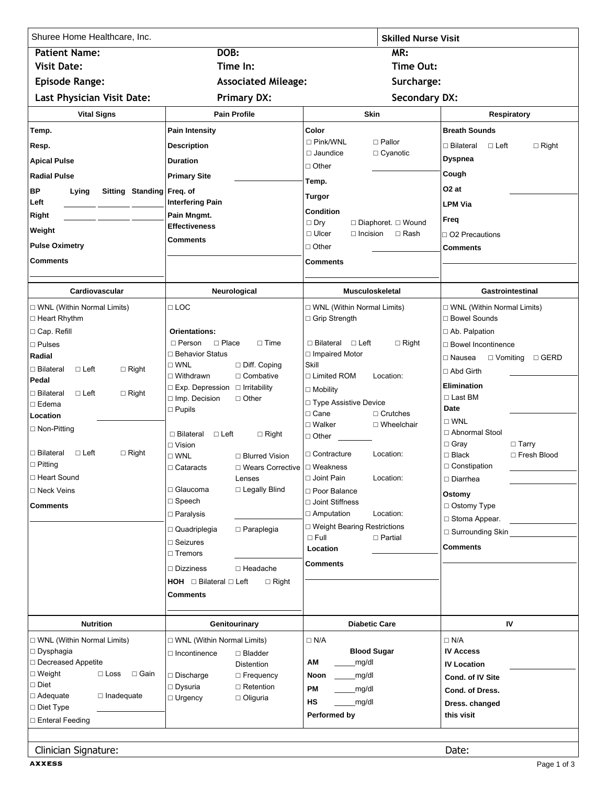| Shuree Home Healthcare, Inc.                             |                                                                                          | <b>Skilled Nurse Visit</b>                                                       |                                                           |
|----------------------------------------------------------|------------------------------------------------------------------------------------------|----------------------------------------------------------------------------------|-----------------------------------------------------------|
| <b>Patient Name:</b>                                     | DOB:                                                                                     | MR:                                                                              |                                                           |
| <b>Visit Date:</b>                                       | Time In:                                                                                 | Time Out:                                                                        |                                                           |
| <b>Episode Range:</b>                                    | <b>Associated Mileage:</b>                                                               | Surcharge:                                                                       |                                                           |
| Last Physician Visit Date:                               | <b>Primary DX:</b>                                                                       | <b>Secondary DX:</b>                                                             |                                                           |
| <b>Vital Signs</b>                                       | <b>Pain Profile</b>                                                                      | <b>Skin</b>                                                                      | Respiratory                                               |
| Temp.                                                    | Pain Intensity                                                                           | Color                                                                            | <b>Breath Sounds</b>                                      |
| Resp.                                                    | <b>Description</b>                                                                       | $\Box$ Pink/WNL<br>$\Box$ Pallor                                                 | □ Bilateral<br>⊟ Left<br>$\Box$ Right                     |
| <b>Apical Pulse</b>                                      | <b>Duration</b>                                                                          | $\Box$ Jaundice<br>$\Box$ Cyanotic                                               | <b>Dyspnea</b>                                            |
| <b>Radial Pulse</b>                                      | <b>Primary Site</b>                                                                      | $\Box$ Other                                                                     | Cough                                                     |
| BP<br>Sitting Standing Freq. of<br>Lying                 |                                                                                          | Temp.                                                                            | O <sub>2</sub> at                                         |
| Left                                                     | <b>Interfering Pain</b>                                                                  | Turgor                                                                           | <b>LPM Via</b>                                            |
| Right                                                    | Pain Mngmt.                                                                              | <b>Condition</b><br>$\Box$ Dry                                                   | Freq                                                      |
| Weight                                                   | <b>Effectiveness</b>                                                                     | $\Box$ Diaphoret. $\Box$ Wound<br>$\Box$ Ulcer<br>$\Box$ Rash<br>$\Box$ Incision | $\Box$ O2 Precautions                                     |
| <b>Pulse Oximetry</b>                                    | <b>Comments</b>                                                                          | $\sqcap$ Other                                                                   | Comments                                                  |
| <b>Comments</b>                                          |                                                                                          | Comments                                                                         |                                                           |
|                                                          |                                                                                          |                                                                                  |                                                           |
| Cardiovascular                                           | Neurological                                                                             | Musculoskeletal                                                                  | <b>Gastrointestinal</b>                                   |
| □ WNL (Within Normal Limits)                             | $\Box$ LOC                                                                               | □ WNL (Within Normal Limits)                                                     | □ WNL (Within Normal Limits)                              |
| □ Heart Rhythm                                           |                                                                                          | □ Grip Strength                                                                  | □ Bowel Sounds                                            |
| □ Cap. Refill                                            | <b>Orientations:</b>                                                                     |                                                                                  | □ Ab. Palpation                                           |
| $\square$ Pulses<br>Radial                               | $\Box$ Person<br>$\Box$ Place<br>$\Box$ Time<br>□ Behavior Status                        | $\Box$ Bilateral $\Box$ Left<br>$\Box$ Right<br>□ Impaired Motor                 | □ Bowel Incontinence                                      |
| □ Bilateral<br>$\Box$ Left<br>$\Box$ Right               | $\square$ WNL<br>$\Box$ Diff. Coping                                                     | Skill                                                                            | $\square$ Nausea<br>□ Vomiting □ GERD                     |
| Pedal                                                    | $\Box$ Combative<br>$\Box$ Withdrawn                                                     | □ Limited ROM<br>Location:                                                       | □ Abd Girth                                               |
| □ Bilateral<br>$\Box$ Left<br>$\Box$ Right               | $\Box$ Exp. Depression $\Box$ Irritability                                               | $\Box$ Mobility                                                                  | <b>Elimination</b><br>$\Box$ Last BM                      |
| $\Box$ Edema                                             | □ Imp. Decision<br>$\Box$ Other<br>$\square$ Pupils                                      | □ Type Assistive Device                                                          | Date                                                      |
| Location                                                 |                                                                                          | $\Box$ Cane<br>$\Box$ Crutches<br>□ Walker<br>$\Box$ Wheelchair                  | $\square$ WNL                                             |
| □ Non-Pitting                                            | □ Bilateral<br>$\Box$ Left<br>$\Box$ Right                                               | $\Box$ Other                                                                     | □ Abnormal Stool                                          |
| $\Box$ Right<br>□ Bilateral<br>$\Box$ Left               | $\Box$ Vision                                                                            | $\square$ Contracture<br>Location:                                               | $\Box$ Gray<br>$\Box$ Tarry                               |
| $\square$ Pitting                                        | $\square$ WNL<br>□ Blurred Vision<br>□ Wears Corrective   □ Weakness<br>$\Box$ Cataracts |                                                                                  | $\Box$ Black<br>$\Box$ Fresh Blood<br>$\Box$ Constipation |
| □ Heart Sound                                            | Lenses                                                                                   | □ Joint Pain<br>Location:                                                        | $\Box$ Diarrhea                                           |
| □ Neck Veins                                             | $\sqcap$ Glaucoma<br>□ Legally Blind                                                     | □ Poor Balance                                                                   | Ostomy                                                    |
| <b>Comments</b>                                          | $\Box$ Speech                                                                            | □ Joint Stiffness                                                                | □ Ostomy Type                                             |
|                                                          | $\Box$ Paralysis                                                                         | □ Amputation<br>Location:                                                        | □ Stoma Appear.                                           |
|                                                          | $\Box$ Paraplegia<br>$\Box$ Quadriplegia                                                 | □ Weight Bearing Restrictions<br>$\square$ Full<br>$\Box$ Partial                | $\Box$ Surrounding Skin                                   |
|                                                          | $\Box$ Seizures                                                                          | Location                                                                         | <b>Comments</b>                                           |
|                                                          | $\Box$ Tremors                                                                           | <b>Comments</b>                                                                  |                                                           |
|                                                          | □ Headache<br>$\Box$ Dizziness                                                           |                                                                                  |                                                           |
|                                                          | $HOH$ $\Box$ Bilateral $\Box$ Left<br>$\Box$ Right<br><b>Comments</b>                    |                                                                                  |                                                           |
|                                                          |                                                                                          |                                                                                  |                                                           |
| <b>Nutrition</b>                                         | Genitourinary                                                                            | <b>Diabetic Care</b>                                                             | IV                                                        |
| □ WNL (Within Normal Limits)                             | □ WNL (Within Normal Limits)                                                             | $\Box$ N/A                                                                       | $\Box$ N/A                                                |
| $\square$ Dysphagia                                      | □ Incontinence<br>$\Box$ Bladder                                                         | <b>Blood Sugar</b>                                                               | <b>IV Access</b>                                          |
| □ Decreased Appetite                                     | <b>Distention</b>                                                                        | ΑМ<br>mg/dl                                                                      | <b>IV Location</b>                                        |
| $\Box$ Weight<br>$\square$ Loss<br>$\Box$ Gain<br>□ Diet | $\square$ Discharge<br>□ Frequency<br>$\Box$ Retention                                   | Noon<br>_mg/dl                                                                   | Cond. of IV Site                                          |
| □ Adequate<br>$\Box$ Inadequate                          | □ Dysuria<br>$\Box$ Urgency<br>□ Oliguria                                                | PM<br>_mg/dl                                                                     | Cond. of Dress.                                           |
| □ Diet Type                                              |                                                                                          | HS<br>mg/dl                                                                      | Dress. changed                                            |
| □ Enteral Feeding                                        |                                                                                          | Performed by                                                                     | this visit                                                |
| Clinician Signature:                                     |                                                                                          |                                                                                  | Date:                                                     |

**AXXESS**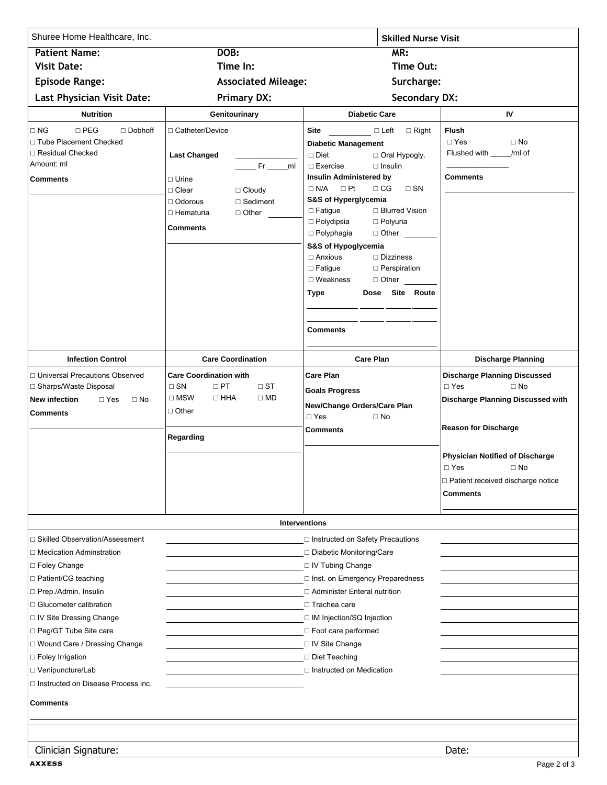| Shuree Home Healthcare, Inc.                                                                                                                                                                                                                                                                                                                                          |                                                                                                                                                                                        | <b>Skilled Nurse Visit</b>                                                                                                                                                                                                                                                                                                                                                                                                                                                                                |                                                                                                                                                                              |  |
|-----------------------------------------------------------------------------------------------------------------------------------------------------------------------------------------------------------------------------------------------------------------------------------------------------------------------------------------------------------------------|----------------------------------------------------------------------------------------------------------------------------------------------------------------------------------------|-----------------------------------------------------------------------------------------------------------------------------------------------------------------------------------------------------------------------------------------------------------------------------------------------------------------------------------------------------------------------------------------------------------------------------------------------------------------------------------------------------------|------------------------------------------------------------------------------------------------------------------------------------------------------------------------------|--|
| <b>Patient Name:</b>                                                                                                                                                                                                                                                                                                                                                  | DOB:                                                                                                                                                                                   | MR:                                                                                                                                                                                                                                                                                                                                                                                                                                                                                                       |                                                                                                                                                                              |  |
| <b>Visit Date:</b>                                                                                                                                                                                                                                                                                                                                                    | Time In:                                                                                                                                                                               | Time Out:                                                                                                                                                                                                                                                                                                                                                                                                                                                                                                 |                                                                                                                                                                              |  |
| <b>Episode Range:</b>                                                                                                                                                                                                                                                                                                                                                 | <b>Associated Mileage:</b>                                                                                                                                                             | Surcharge:                                                                                                                                                                                                                                                                                                                                                                                                                                                                                                |                                                                                                                                                                              |  |
| <b>Last Physician Visit Date:</b>                                                                                                                                                                                                                                                                                                                                     | <b>Primary DX:</b>                                                                                                                                                                     | <b>Secondary DX:</b>                                                                                                                                                                                                                                                                                                                                                                                                                                                                                      |                                                                                                                                                                              |  |
| <b>Nutrition</b>                                                                                                                                                                                                                                                                                                                                                      | Genitourinary                                                                                                                                                                          | <b>Diabetic Care</b>                                                                                                                                                                                                                                                                                                                                                                                                                                                                                      | IV                                                                                                                                                                           |  |
| $\Box$ NG<br>$\Box$ PEG<br>$\Box$ Dobhoff<br>□ Tube Placement Checked<br>□ Residual Checked<br>Amount: ml<br><b>Comments</b>                                                                                                                                                                                                                                          | □ Catheter/Device<br><b>Last Changed</b><br>$Fr$ ml<br>$\Box$ Urine<br>□ Clear<br>$\Box$ Cloudy<br>$\Box$ Sediment<br>$\Box$ Odorous<br>$\Box$ Other<br>□ Hematuria<br><b>Comments</b> | Site DLeft □ Right<br><b>Diabetic Management</b><br>$\Box$ Diet<br>$\Box$ Oral Hypogly.<br>$\Box$ Exercise<br>$\Box$ Insulin<br>Insulin Administered by<br>$\Box$ N/A $\Box$ Pt<br>$\Box$ CG<br>$\square$ SN<br>S&S of Hyperglycemia<br>$\Box$ Fatigue<br>□ Blurred Vision<br>$\Box$ Polydipsia<br>□ Polyuria<br>$\Box$ Polyphagia<br>$\Box$ Other<br>S&S of Hypoglycemia<br>$\Box$ Anxious<br>$\Box$ Dizziness<br>$\square$ Fatigue<br>$\Box$ Perspiration<br>$\Box$ Weakness<br>Dose Site Route<br>Type | <b>Flush</b><br>$\Box$ Yes<br>$\Box$ No<br>Flushed with ____/ml of<br><b>Comments</b>                                                                                        |  |
| <b>Infection Control</b>                                                                                                                                                                                                                                                                                                                                              | <b>Care Coordination</b>                                                                                                                                                               | <b>Comments</b><br><b>Care Plan</b>                                                                                                                                                                                                                                                                                                                                                                                                                                                                       | <b>Discharge Planning</b>                                                                                                                                                    |  |
|                                                                                                                                                                                                                                                                                                                                                                       |                                                                                                                                                                                        |                                                                                                                                                                                                                                                                                                                                                                                                                                                                                                           |                                                                                                                                                                              |  |
| □ Universal Precautions Observed<br>□ Sharps/Waste Disposal<br><b>New infection</b><br>$\Box$ Yes<br>$\Box$ No<br><b>Comments</b>                                                                                                                                                                                                                                     | <b>Care Coordination with</b><br>$\Box$ SN<br>$\Box$ PT<br>$\Box$ ST<br>$\square$ MSW<br>$\Box$ HHA<br>$\square$ MD<br>$\Box$ Other<br>Regarding                                       | Care Plan<br><b>Goals Progress</b><br>New/Change Orders/Care Plan<br>$\Box$ Yes<br>$\square$ No<br>Comments                                                                                                                                                                                                                                                                                                                                                                                               | <b>Discharge Planning Discussed</b><br>$\Box$ Yes<br>$\Box$ No<br>Discharge Planning Discussed with<br><b>Reason for Discharge</b><br><b>Physician Notified of Discharge</b> |  |
|                                                                                                                                                                                                                                                                                                                                                                       |                                                                                                                                                                                        |                                                                                                                                                                                                                                                                                                                                                                                                                                                                                                           | $\Box$ Yes<br>$\Box$ No<br>□ Patient received discharge notice<br><b>Comments</b>                                                                                            |  |
|                                                                                                                                                                                                                                                                                                                                                                       |                                                                                                                                                                                        | <b>Interventions</b>                                                                                                                                                                                                                                                                                                                                                                                                                                                                                      |                                                                                                                                                                              |  |
| □ Skilled Observation/Assessment<br>□ Medication Adminstration<br>$\Box$ Foley Change<br>□ Patient/CG teaching<br>□ Prep./Admin. Insulin<br>□ Glucometer calibration<br>□ IV Site Dressing Change<br>□ Peg/GT Tube Site care<br>□ Wound Care / Dressing Change<br>□ Foley Irrigation<br>□ Venipuncture/Lab<br>□ Instructed on Disease Process inc.<br><b>Comments</b> |                                                                                                                                                                                        | □ Instructed on Safety Precautions<br>□ Diabetic Monitoring/Care<br>□ IV Tubing Change<br>□ Inst. on Emergency Preparedness<br>□ Administer Enteral nutrition<br>$\Box$ Trachea care<br>□ IM Injection/SQ Injection<br>□ Foot care performed<br>□ IV Site Change<br>□ Diet Teaching<br>$\Box$ Instructed on Medication                                                                                                                                                                                    |                                                                                                                                                                              |  |
|                                                                                                                                                                                                                                                                                                                                                                       |                                                                                                                                                                                        |                                                                                                                                                                                                                                                                                                                                                                                                                                                                                                           |                                                                                                                                                                              |  |
| Clinician Signature:                                                                                                                                                                                                                                                                                                                                                  |                                                                                                                                                                                        |                                                                                                                                                                                                                                                                                                                                                                                                                                                                                                           | Date:                                                                                                                                                                        |  |